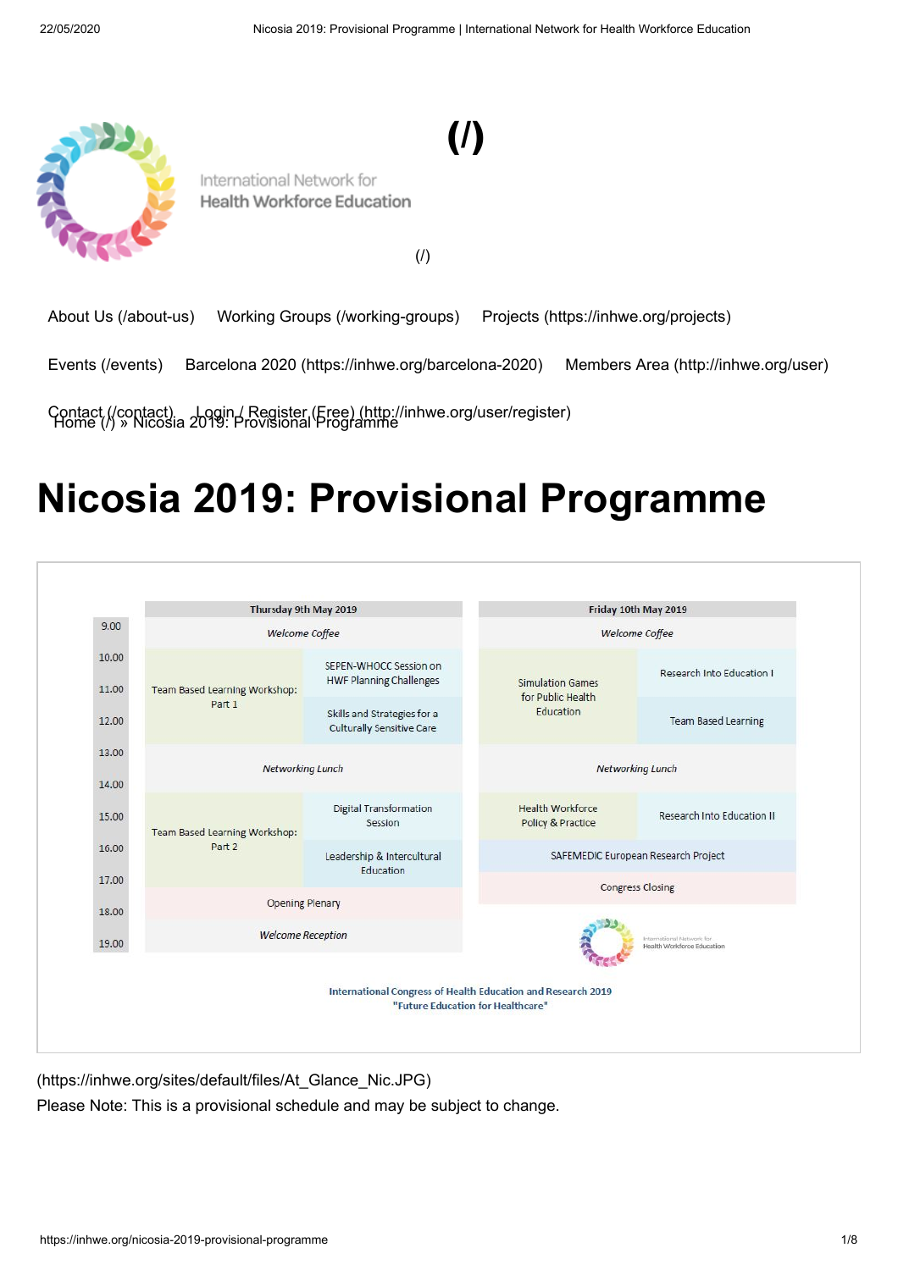[\(/\)](https://inhwe.org/)



International Network for Health Workforce Education

[\(/\)](https://inhwe.org/)

[About Us \(/about-us\)](https://inhwe.org/about-us) [Working Groups \(/working-groups\)](https://inhwe.org/working-groups) [Projects \(https://inhwe.org/projects\)](https://inhwe.org/projects)

[Events \(/events\)](https://inhwe.org/events) [Barcelona 2020 \(https://inhwe.org/barcelona-2020\)](https://inhwe.org/barcelona-2020) [Members Area \(http://inhwe.org/user\)](http://inhwe.org/user)

Contact (/contact) [Login / Register \(Free\) \(http://inhwe.org/user/register\)](http://inhwe.org/user/register)<br>[Home \(/\) » Nicosia](https://inhwe.org/contact) 2019: Provisional Programme

# **Nicosia 2019: Provisional Programme**

|                | Thursday 9th May 2019                          |                                                                                                   | Friday 10th May 2019                                      |                                                         |
|----------------|------------------------------------------------|---------------------------------------------------------------------------------------------------|-----------------------------------------------------------|---------------------------------------------------------|
| 9.00           | <b>Welcome Coffee</b>                          |                                                                                                   | <b>Welcome Coffee</b>                                     |                                                         |
| 10.00<br>11.00 | <b>Team Based Learning Workshop:</b><br>Part 1 | SEPEN-WHOCC Session on<br><b>HWF Planning Challenges</b>                                          | <b>Simulation Games</b><br>for Public Health<br>Education | Research Into Education I                               |
| 12.00          |                                                | Skills and Strategies for a<br><b>Culturally Sensitive Care</b>                                   |                                                           | <b>Team Based Learning</b>                              |
| 13.00          |                                                |                                                                                                   |                                                           |                                                         |
| 14.00          | Networking Lunch                               |                                                                                                   | <b>Networking Lunch</b>                                   |                                                         |
| 15.00          | <b>Team Based Learning Workshop:</b>           | <b>Digital Transformation</b><br>Session                                                          | <b>Health Workforce</b><br>Policy & Practice              | Research Into Education II                              |
| 16.00          | Part 2                                         | Leadership & Intercultural<br>Education                                                           | SAFEMEDIC European Research Project                       |                                                         |
| 17.00          |                                                |                                                                                                   | <b>Congress Closing</b>                                   |                                                         |
| 18.00          | Opening Plenary                                |                                                                                                   |                                                           |                                                         |
| 19.00          | <b>Welcome Reception</b>                       |                                                                                                   |                                                           | International Network for<br>Health Workforce Education |
|                |                                                | International Congress of Health Education and Research 2019<br>"Future Education for Healthcare" |                                                           |                                                         |

[<sup>\(</sup>https://inhwe.org/sites/default/files/At\\_Glance\\_Nic.JPG\)](https://inhwe.org/sites/default/files/At_Glance_Nic.JPG)

Please Note: This is a provisional schedule and may be subject to change.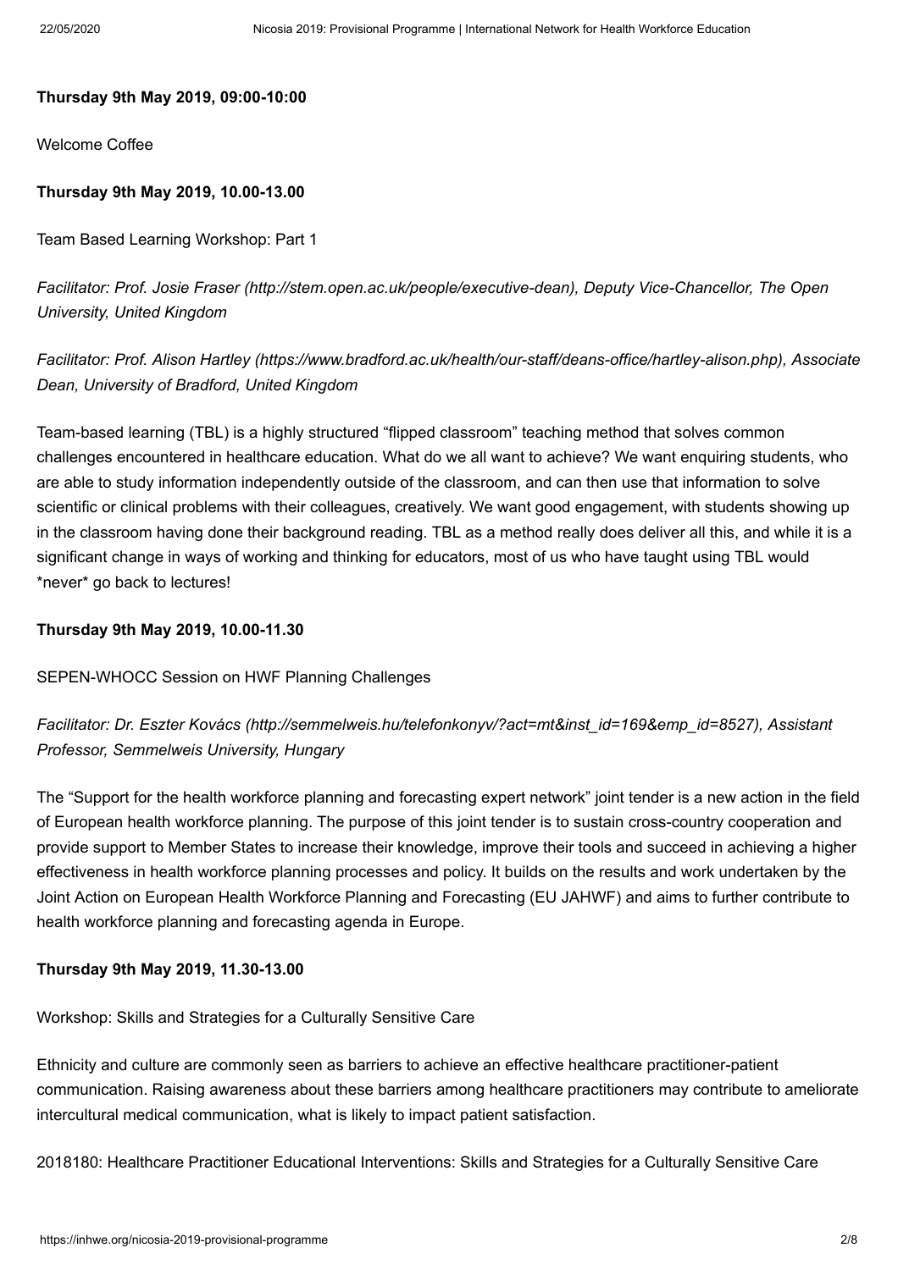#### **Thursday 9th May 2019, 09:00-10:00**

Welcome Coffee

## **Thursday 9th May 2019, 10.00-13.00**

Team Based Learning Workshop: Part 1

*Facilitator: [Prof. Josie Fraser \(http://stem.open.ac.uk/people/executive-dean\),](http://stem.open.ac.uk/people/executive-dean) Deputy Vice-Chancellor, The Open University, United Kingdom*

*Facilitator: [Prof. Alison Hartley \(https://www.bradford.ac.uk/health/our-staff/deans-office/hartley-alison.php\),](https://www.bradford.ac.uk/health/our-staff/deans-office/hartley-alison.php) Associate Dean, University of Bradford, United Kingdom*

Team-based learning (TBL) is a highly structured "flipped classroom" teaching method that solves common challenges encountered in healthcare education. What do we all want to achieve? We want enquiring students, who are able to study information independently outside of the classroom, and can then use that information to solve scientific or clinical problems with their colleagues, creatively. We want good engagement, with students showing up in the classroom having done their background reading. TBL as a method really does deliver all this, and while it is a significant change in ways of working and thinking for educators, most of us who have taught using TBL would \*never\* go back to lectures!

#### **Thursday 9th May 2019, 10.00-11.30**

## SEPEN-WHOCC Session on HWF Planning Challenges

## *Facilitator: [Dr. Eszter Kovács \(http://semmelweis.hu/telefonkonyv/?act=mt&inst\\_id=169&emp\\_id=8527\)](http://semmelweis.hu/telefonkonyv/?act=mt&inst_id=169&emp_id=8527), Assistant Professor, Semmelweis University, Hungary*

The "Support for the health workforce planning and forecasting expert network" joint tender is a new action in the field of European health workforce planning. The purpose of this joint tender is to sustain cross-country cooperation and provide support to Member States to increase their knowledge, improve their tools and succeed in achieving a higher effectiveness in health workforce planning processes and policy. It builds on the results and work undertaken by the Joint Action on European Health Workforce Planning and Forecasting (EU JAHWF) and aims to further contribute to health workforce planning and forecasting agenda in Europe.

## **Thursday 9th May 2019, 11.30-13.00**

Workshop: Skills and Strategies for a Culturally Sensitive Care

Ethnicity and culture are commonly seen as barriers to achieve an effective healthcare practitioner-patient communication. Raising awareness about these barriers among healthcare practitioners may contribute to ameliorate intercultural medical communication, what is likely to impact patient satisfaction.

2018180: Healthcare Practitioner Educational Interventions: Skills and Strategies for a Culturally Sensitive Care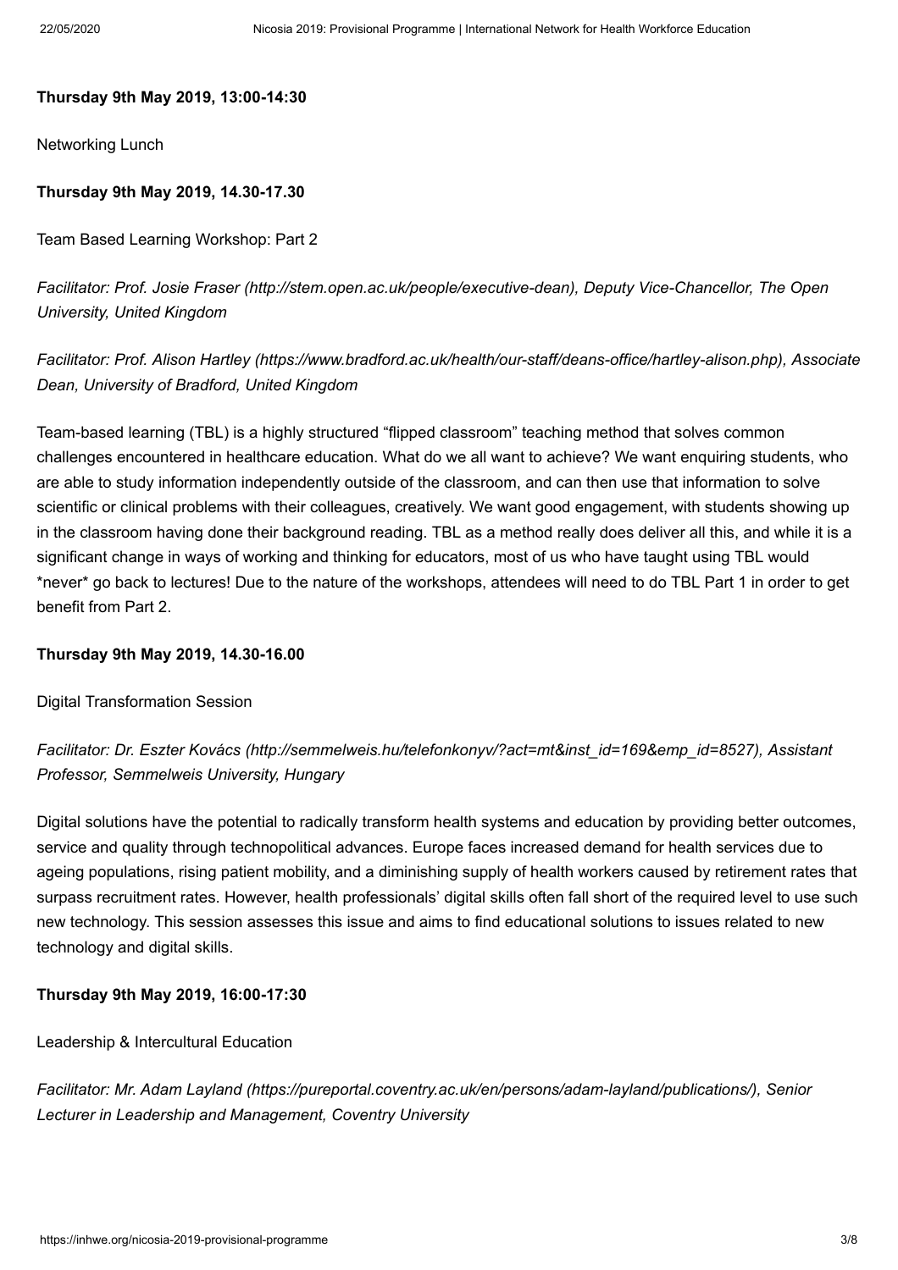#### **Thursday 9th May 2019, 13:00-14:30**

Networking Lunch

## **Thursday 9th May 2019, 14.30-17.30**

Team Based Learning Workshop: Part 2

*Facilitator: [Prof. Josie Fraser \(http://stem.open.ac.uk/people/executive-dean\),](http://stem.open.ac.uk/people/executive-dean) Deputy Vice-Chancellor, The Open University, United Kingdom*

*Facilitator: [Prof. Alison Hartley \(https://www.bradford.ac.uk/health/our-staff/deans-office/hartley-alison.php\),](https://www.bradford.ac.uk/health/our-staff/deans-office/hartley-alison.php) Associate Dean, University of Bradford, United Kingdom*

Team-based learning (TBL) is a highly structured "flipped classroom" teaching method that solves common challenges encountered in healthcare education. What do we all want to achieve? We want enquiring students, who are able to study information independently outside of the classroom, and can then use that information to solve scientific or clinical problems with their colleagues, creatively. We want good engagement, with students showing up in the classroom having done their background reading. TBL as a method really does deliver all this, and while it is a significant change in ways of working and thinking for educators, most of us who have taught using TBL would \*never\* go back to lectures! Due to the nature of the workshops, attendees will need to do TBL Part 1 in order to get benefit from Part 2.

#### **Thursday 9th May 2019, 14.30-16.00**

Digital Transformation Session

*Facilitator: [Dr. Eszter Kovács \(http://semmelweis.hu/telefonkonyv/?act=mt&inst\\_id=169&emp\\_id=8527\)](http://semmelweis.hu/telefonkonyv/?act=mt&inst_id=169&emp_id=8527), Assistant Professor, Semmelweis University, Hungary* 

Digital solutions have the potential to radically transform health systems and education by providing better outcomes, service and quality through technopolitical advances. Europe faces increased demand for health services due to ageing populations, rising patient mobility, and a diminishing supply of health workers caused by retirement rates that surpass recruitment rates. However, health professionals' digital skills often fall short of the required level to use such new technology. This session assesses this issue and aims to find educational solutions to issues related to new technology and digital skills.

#### **Thursday 9th May 2019, 16:00-17:30**

Leadership & Intercultural Education

*Facilitator: [Mr. Adam Layland \(https://pureportal.coventry.ac.uk/en/persons/adam-layland/publications/\),](https://pureportal.coventry.ac.uk/en/persons/adam-layland/publications/) Senior Lecturer in Leadership and Management, Coventry University*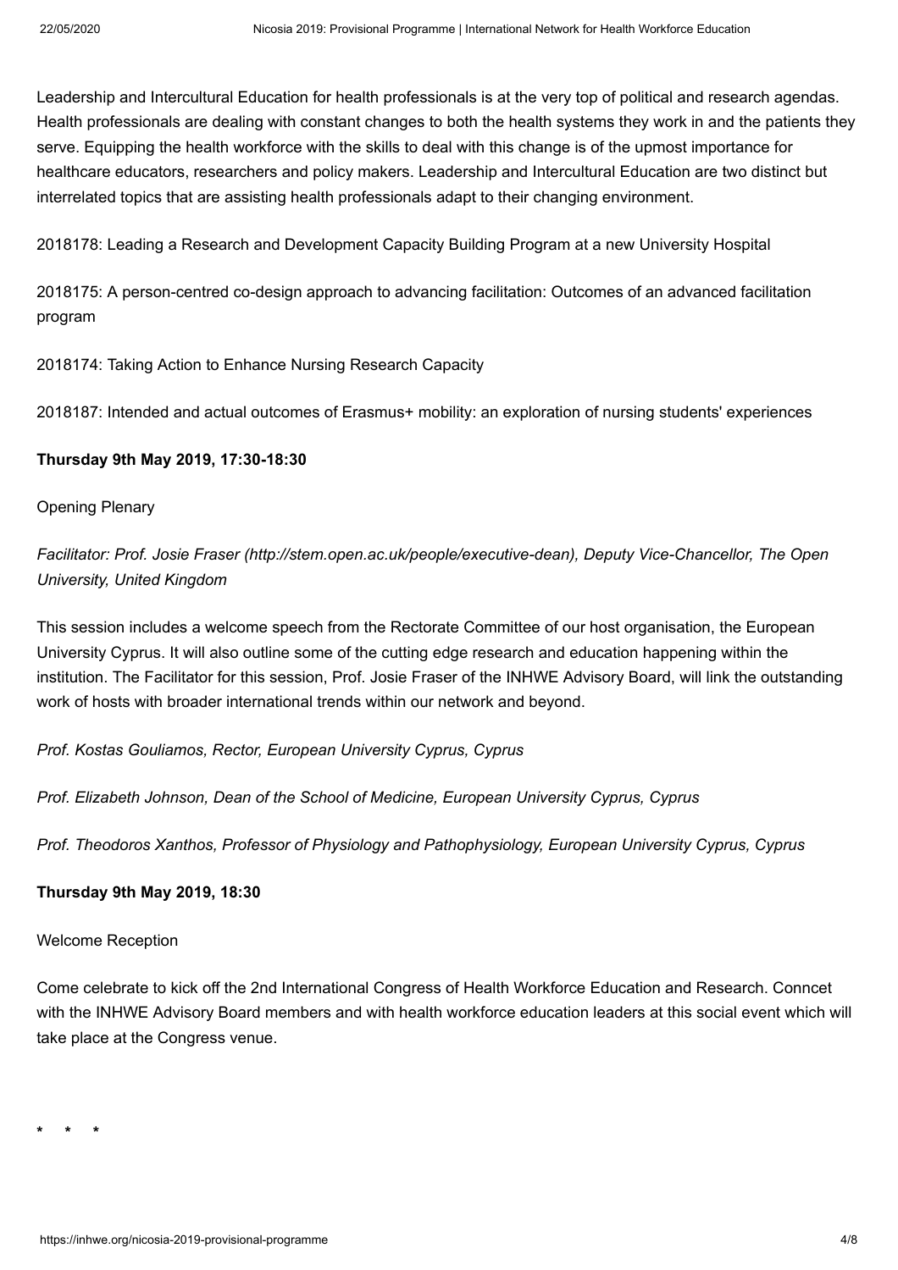Leadership and Intercultural Education for health professionals is at the very top of political and research agendas. Health professionals are dealing with constant changes to both the health systems they work in and the patients they serve. Equipping the health workforce with the skills to deal with this change is of the upmost importance for healthcare educators, researchers and policy makers. Leadership and Intercultural Education are two distinct but interrelated topics that are assisting health professionals adapt to their changing environment.

2018178: Leading a Research and Development Capacity Building Program at a new University Hospital

2018175: A person-centred co-design approach to advancing facilitation: Outcomes of an advanced facilitation program

2018174: Taking Action to Enhance Nursing Research Capacity

2018187: Intended and actual outcomes of Erasmus+ mobility: an exploration of nursing students' experiences

## **Thursday 9th May 2019, 17:30-18:30**

Opening Plenary

*Facilitator: [Prof. Josie Fraser \(http://stem.open.ac.uk/people/executive-dean\),](http://stem.open.ac.uk/people/executive-dean) Deputy Vice-Chancellor, The Open University, United Kingdom*

This session includes a welcome speech from the Rectorate Committee of our host organisation, the European University Cyprus. It will also outline some of the cutting edge research and education happening within the institution. The Facilitator for this session, Prof. Josie Fraser of the INHWE Advisory Board, will link the outstanding work of hosts with broader international trends within our network and beyond.

*Prof. Kostas Gouliamos, Rector, European University Cyprus, Cyprus*

*Prof. Elizabeth Johnson, Dean of the School of Medicine, European University Cyprus, Cyprus*

*Prof. Theodoros Xanthos, Professor of Physiology and Pathophysiology, European University Cyprus, Cyprus*

## **Thursday 9th May 2019, 18:30**

## Welcome Reception

Come celebrate to kick off the 2nd International Congress of Health Workforce Education and Research. Conncet with the INHWE Advisory Board members and with health workforce education leaders at this social event which will take place at the Congress venue.

**\* \* \***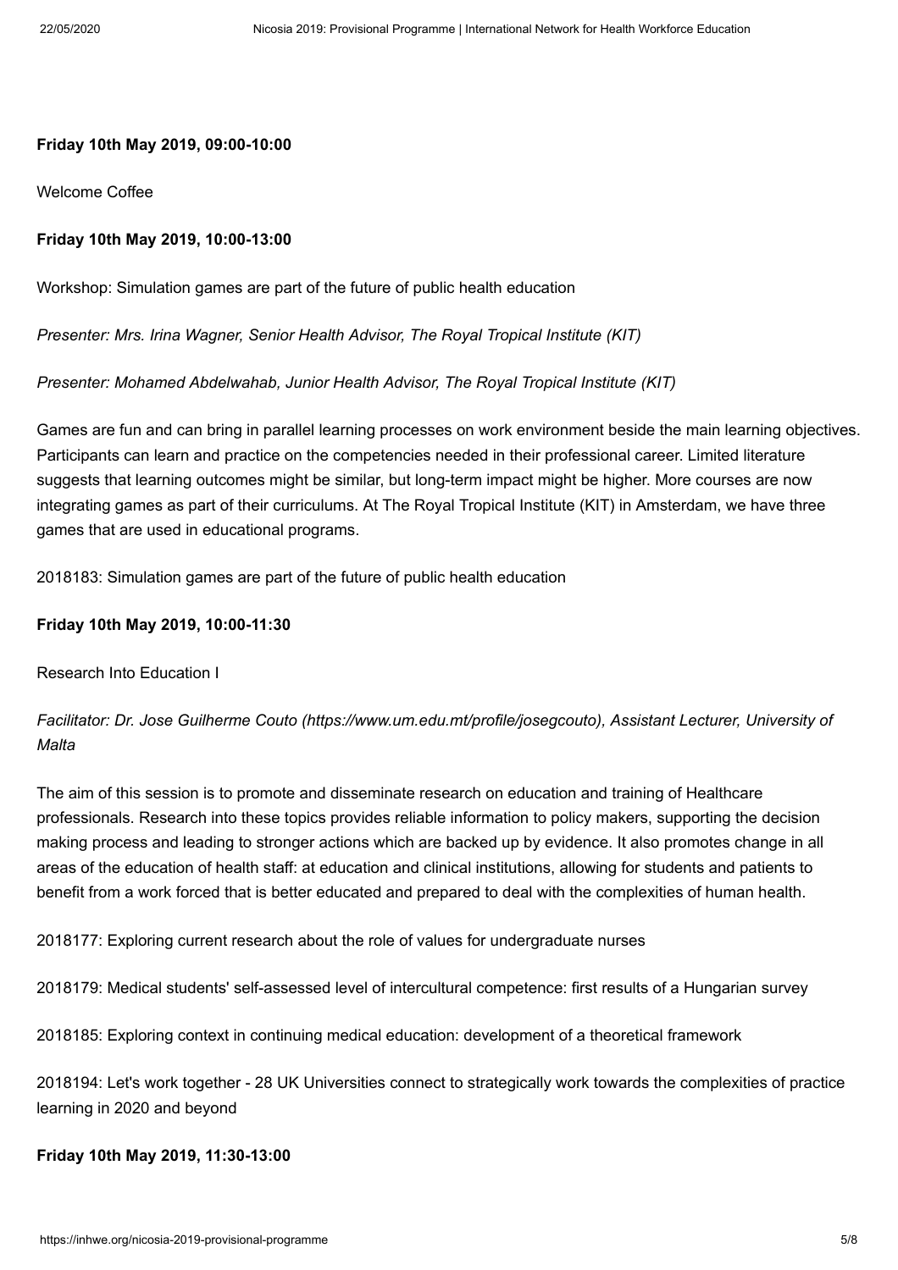#### **Friday 10th May 2019, 09:00-10:00**

Welcome Coffee

## **Friday 10th May 2019, 10:00-13:00**

Workshop: Simulation games are part of the future of public health education

*Presenter: Mrs. Irina Wagner, Senior Health Advisor, The Royal Tropical Institute (KIT)*

#### *Presenter: Mohamed Abdelwahab, Junior Health Advisor, The Royal Tropical Institute (KIT)*

Games are fun and can bring in parallel learning processes on work environment beside the main learning objectives. Participants can learn and practice on the competencies needed in their professional career. Limited literature suggests that learning outcomes might be similar, but long-term impact might be higher. More courses are now integrating games as part of their curriculums. At The Royal Tropical Institute (KIT) in Amsterdam, we have three games that are used in educational programs.

2018183: Simulation games are part of the future of public health education

## **Friday 10th May 2019, 10:00-11:30**

Research Into Education I

*Facilitator: [Dr. Jose Guilherme Couto \(https://www.um.edu.mt/profile/josegcouto\)](https://www.um.edu.mt/profile/josegcouto), Assistant Lecturer, University of Malta*

The aim of this session is to promote and disseminate research on education and training of Healthcare professionals. Research into these topics provides reliable information to policy makers, supporting the decision making process and leading to stronger actions which are backed up by evidence. It also promotes change in all areas of the education of health staff: at education and clinical institutions, allowing for students and patients to benefit from a work forced that is better educated and prepared to deal with the complexities of human health.

2018177: Exploring current research about the role of values for undergraduate nurses

2018179: Medical students' self-assessed level of intercultural competence: first results of a Hungarian survey

2018185: Exploring context in continuing medical education: development of a theoretical framework

2018194: Let's work together - 28 UK Universities connect to strategically work towards the complexities of practice learning in 2020 and beyond

#### **Friday 10th May 2019, 11:30-13:00**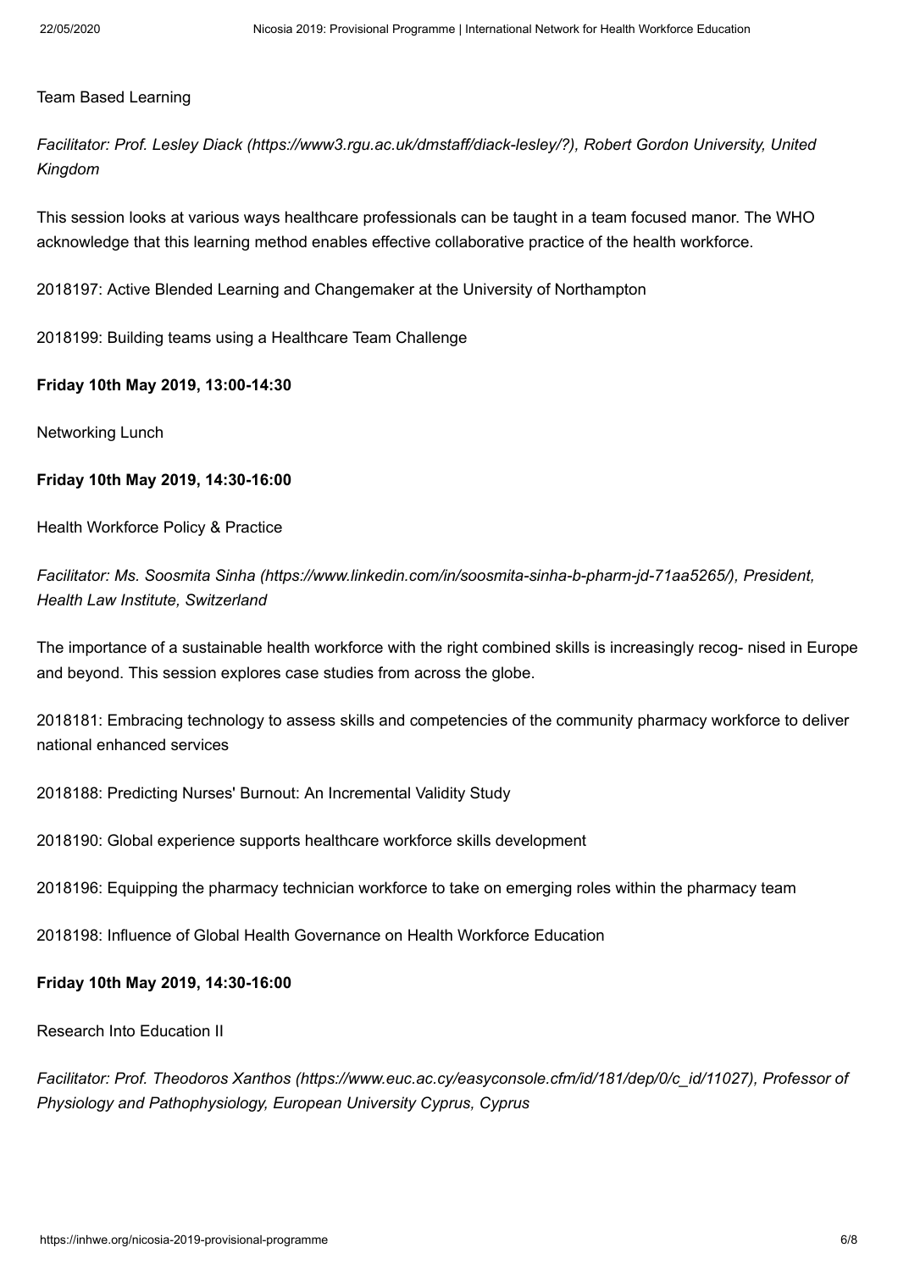#### Team Based Learning

*Facilitator: [Prof. Lesley Diack \(https://www3.rgu.ac.uk/dmstaff/diack-lesley/?\),](https://www3.rgu.ac.uk/dmstaff/diack-lesley/?) Robert Gordon University, United Kingdom*

This session looks at various ways healthcare professionals can be taught in a team focused manor. The WHO acknowledge that this learning method enables effective collaborative practice of the health workforce.

2018197: Active Blended Learning and Changemaker at the University of Northampton

2018199: Building teams using a Healthcare Team Challenge

#### **Friday 10th May 2019, 13:00-14:30**

Networking Lunch

## **Friday 10th May 2019, 14:30-16:00**

Health Workforce Policy & Practice

*Facilitator: [Ms. Soosmita Sinha \(https://www.linkedin.com/in/soosmita-sinha-b-pharm-jd-71aa5265/\)](https://www.linkedin.com/in/soosmita-sinha-b-pharm-jd-71aa5265/), President, Health Law Institute, Switzerland*

The importance of a sustainable health workforce with the right combined skills is increasingly recog- nised in Europe and beyond. This session explores case studies from across the globe.

2018181: Embracing technology to assess skills and competencies of the community pharmacy workforce to deliver national enhanced services

2018188: Predicting Nurses' Burnout: An Incremental Validity Study

2018190: Global experience supports healthcare workforce skills development

2018196: Equipping the pharmacy technician workforce to take on emerging roles within the pharmacy team

2018198: Influence of Global Health Governance on Health Workforce Education

#### **Friday 10th May 2019, 14:30-16:00**

Research Into Education II

*Facilitator: [Prof. Theodoros Xanthos \(https://www.euc.ac.cy/easyconsole.cfm/id/181/dep/0/c\\_id/11027\)](https://www.euc.ac.cy/easyconsole.cfm/id/181/dep/0/c_id/11027), Professor of Physiology and Pathophysiology, European University Cyprus, Cyprus*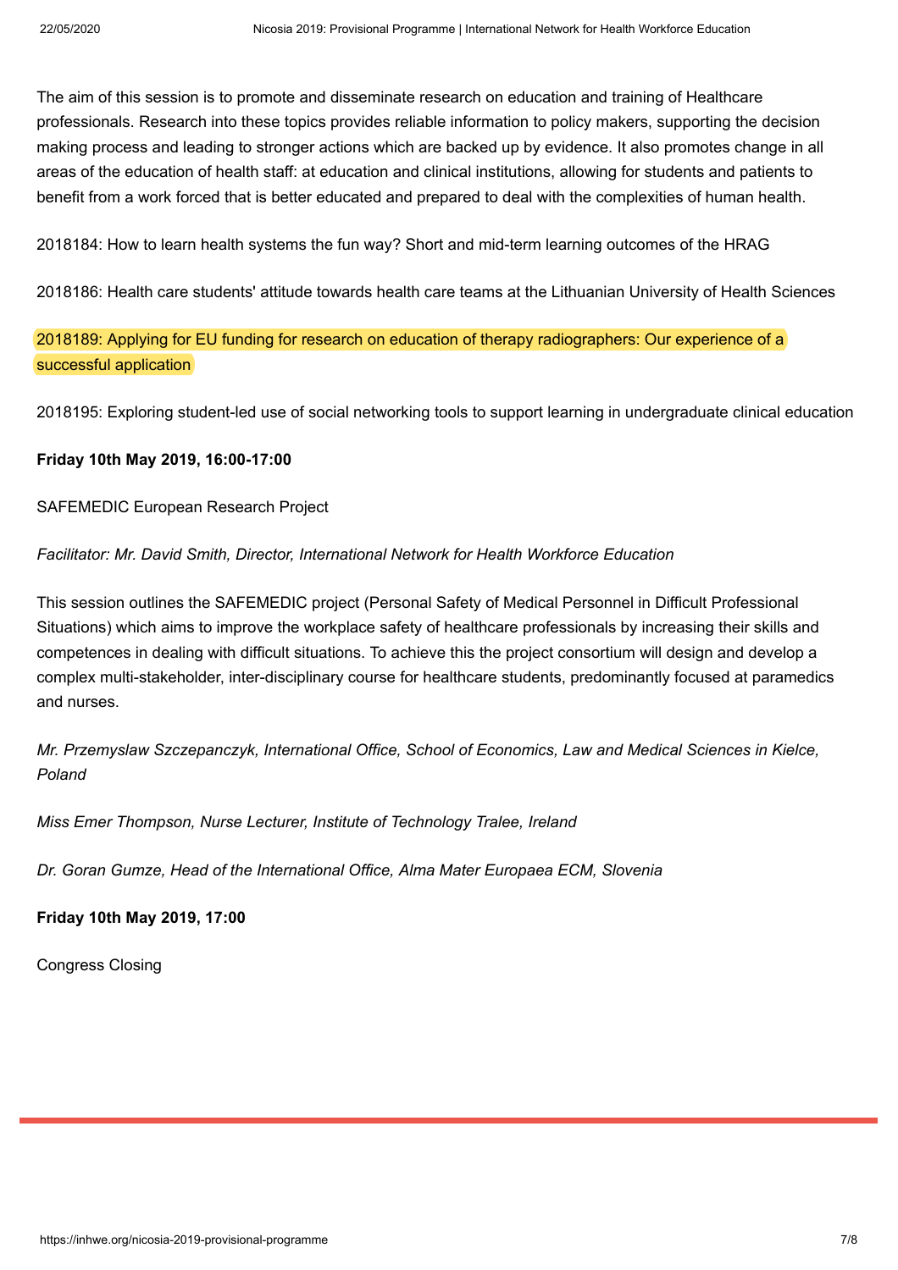The aim of this session is to promote and disseminate research on education and training of Healthcare professionals. Research into these topics provides reliable information to policy makers, supporting the decision making process and leading to stronger actions which are backed up by evidence. It also promotes change in all areas of the education of health staff: at education and clinical institutions, allowing for students and patients to benefit from a work forced that is better educated and prepared to deal with the complexities of human health.

2018184: How to learn health systems the fun way? Short and mid-term learning outcomes of the HRAG

2018186: Health care students' attitude towards health care teams at the Lithuanian University of Health Sciences

2018189: Applying for EU funding for research on education of therapy radiographers: Our experience of a successful application

2018195: Exploring student-led use of social networking tools to support learning in undergraduate clinical education

## **Friday 10th May 2019, 16:00-17:00**

SAFEMEDIC European Research Project

*Facilitator: Mr. David Smith, Director, International Network for Health Workforce Education*

This session outlines the SAFEMEDIC project (Personal Safety of Medical Personnel in Difficult Professional Situations) which aims to improve the workplace safety of healthcare professionals by increasing their skills and competences in dealing with difficult situations. To achieve this the project consortium will design and develop a complex multi-stakeholder, inter-disciplinary course for healthcare students, predominantly focused at paramedics and nurses.

*Mr. Przemyslaw Szczepanczyk, International Office, School of Economics, Law and Medical Sciences in Kielce, Poland*

*Miss Emer Thompson, Nurse Lecturer, Institute of Technology Tralee, Ireland*

*Dr. Goran Gumze, Head of the International Office, Alma Mater Europaea ECM, Slovenia*

**Friday 10th May 2019, 17:00**

Congress Closing